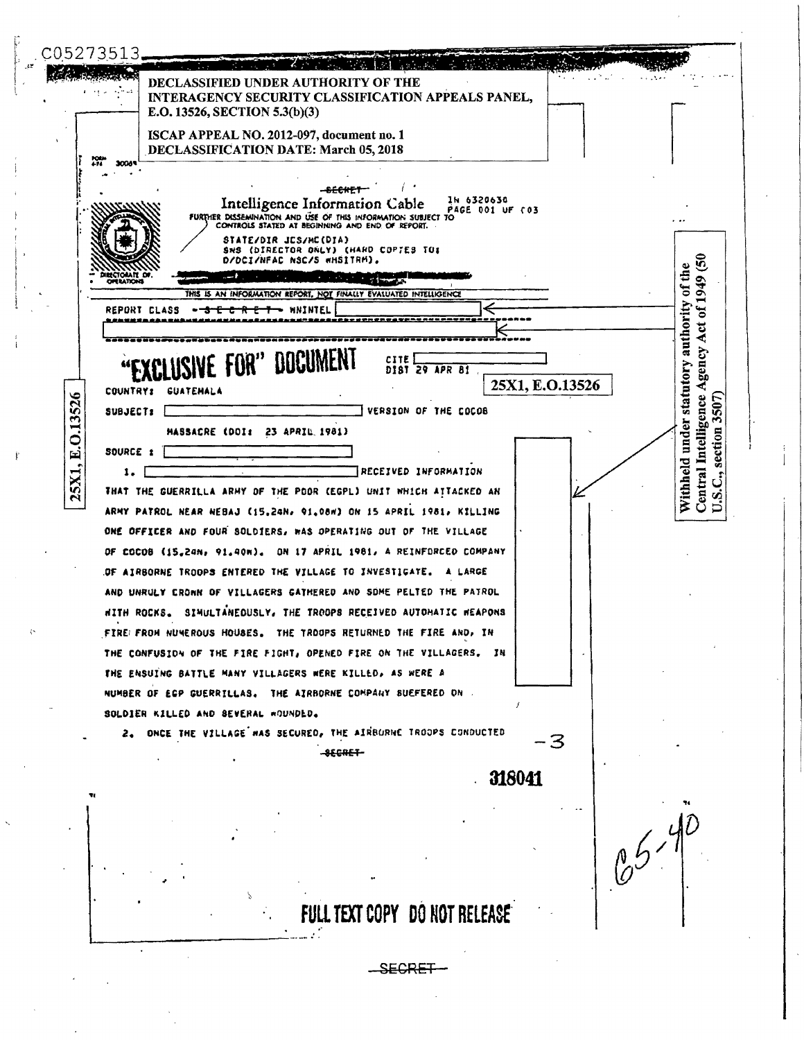C05273513 **DECLASSIFIED UNDER AUTHORITY OF THE** INTERAGENCY SECURITY CLASSIFICATION APPEALS PANEL, E.O. 13526, SECTION 5.3(b)(3) ISCAP APPEAL NO. 2012-097, document no. 1 DECLASSIFICATION DATE: March 05, 2018 ngan<br>471 3006 <del>BECKET</del> In 6320630 Intelligence Information Cable FURTHER DISSEMINATION AND USE OF THIS INFORMATION SUBJECT TO CONTROLS STATED AT BEGINNING AND END OF REPORT. STATE/DIR JES/MC(DIA) SWS (DIRECTOR ONLY) (HARD COPTES TO: D/DCI/NFAC NSC/S WHSITRM). ত Withheld under statutory authority of the  $.01949$ ومشببته والمستند THIS IS AN INFORMATION REPORT, NOT FINALLY EVALUATED INTELLIGENCE **REPORT CLASS** WNINTEL ⊷ -<del>117</del> ÷ Central Intelligence Agency Act<br>U.S.C., section 3507) *DOCUMEN* CITE DIST 29 APR 81 25X1, E.O.13526 COUNTRY: GUATEMALA 25X1, E.O.13526 VERSION OF THE COCOB SUBJECT: [ MASSACRE (DOI: 23 APRIL 1981) SOURCE 1 RECEIVED INFORMATION  $1.1$ THAT THE GUERRILLA ARMY OF THE POOR (EGPL) UNIT WHICH ATTACKED AN ARMY PATROL NEAR NEBAJ (15.24N, 91.08m) ON 15 APRIL 1981, KILLING ONE OFFICER AND FOUR SOLDIERS, WAS OPERATING OUT OF THE VILLAGE OF COCOB (15,24N, 91,40N). ON 17 APRIL 1981, A REINFORCED COMPANY OF AIRBORNE TROOPS ENTERED THE VILLAGE TO INVESTIGATE. A LARGE AND UNRULY CRONN OF VILLAGERS GATHERED AND SOME PELTED THE PATROL HITH ROCKS. SIMULTANEOUSLY, THE TROOPS RECEIVED AUTOHATIC HEAPONS FIRE FROM NUMEROUS HOUSES. THE TROOPS RETURNED THE FIRE AND, IN THE CONFUSION OF THE FIRE FIGHT, OPENED FIRE ON THE VILLAGERS. IN THE ENSUING BATTLE MANY VILLAGERS WERE KILLED, AS WERE A NUMBER OF EGP GUERRILLAS. THE AIRBORNE COMPANY SUEFERED ON . SOLDIER KILLED AND SEVERAL WOUNDED. ONCE THE VILLAGE WAS SECURED, THE AIRBURNE TROOPS CONDUCTED  $2.$ -3 **SECRET** 318041  $65 - 40$ FULL TEXT COPY DO NOT RELEASE SECRET-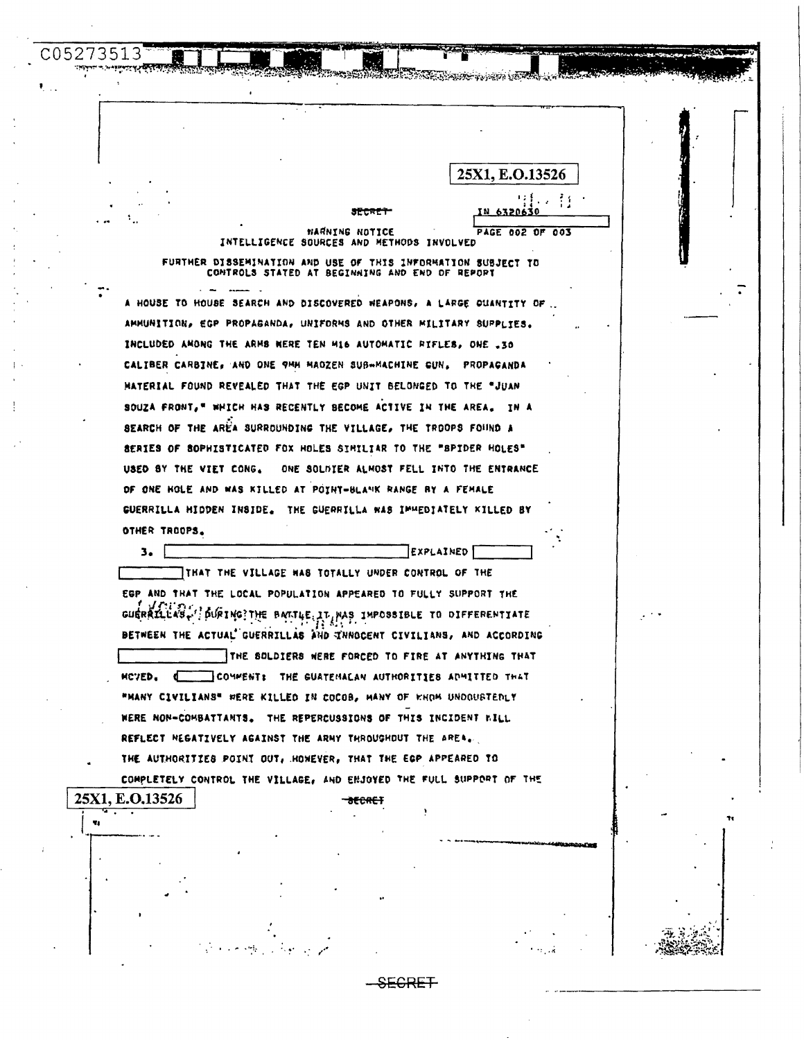NARNING NOTICE PAGE 002 OF 003 INTELLIGENCE SOURCES AND METHODS INVOLVED

**RAMA Magneto La La Cara** 

25X1, E.O.13526

C05273513

Ÿ.

FURTHER DISSEMINATION AND USE OF THIS INFORMATION SUBJECT TO CONTROLS STATED AT BEGINAING AND END OF REPORT

A HOUSE TO HOUSE SEARCH AND DISCOVERED WEAPONS, A LARGE QUANTITY OF AMMUNITION, EGP PROPAGANDA, UNIFORMS AND OTHER MILITARY SUPPLIES. INCLUDED ANONG THE ARMS WERE TEN M16 AUTOMATIC RIFLES, ONE .30 CALIBER CARBINE, AND ONE 9MH MADZEN SUB-MACHINE GUN. PROPAGANDA MATERIAL FOUND REVEALED THAT THE EGP UNIT BELONGED TO THE "JUAN SOUZA FRONT, " WHICH HAS RECENTLY BECOME ACTIVE IN THE AREA. IN A SEARCH OF THE AREA SURROUNDING THE VILLAGE, THE TROOPS FOUND A SERIES OF SOPHISTICATED FOX HOLES SIMILIAR TO THE "SPIDER HOLES" USED BY THE VIET CONG. ONE SOLDIER ALMOST FELL INTO THE ENTRANCE OF ONE HOLE AND WAS KILLED AT POINT-BLANK RANGE BY A FEMALE GUERRILLA HIDDEN INSIDE. THE GUERRILLA WAS IMMEDIATELY KILLED BY OTHER TROOPS.

 $3.1$ EXPLAINED THAT THE VILLAGE HAS TOTALLY UNDER CONTROL OF THE EGP AND THAT THE LOCAL POPULATION APPEARED TO FULLY SUPPORT THE GUERRILLAS. JOURING?THE BARTLE IT WAS IMPOSSIBLE TO DIFFERENTIATE BETWEEN THE ACTUAL GUERRILLAS AND INNOCENT CIVILIANS, AND ACCORDING THE SOLDIERS WERE FORCED TO FIRE AT ANYTHING THAT HCVED. COMMENT: THE GUATEMALAN AUTHORITIES ADMITTED THAT "MANY CIVILIANS" WERE KILLED IN COCOB, MANY OF WHOM UNDOUSTEDLY WERE NON-COMBATTANTS. THE REPERCUSSIONS OF THIS INCIDENT WILL REFLECT NEGATIVELY AGAINST THE ARMY THROUGHOUT THE AREA. THE AUTHORITIES POINT OUT, HOWEVER, THAT THE EGP APPEARED TO COMPLETELY CONTROL THE VILLAGE, AND ENJOYED THE FULL SUPPORT OF THE 25X1, E.O.13526

\*FCAFT

SECRET